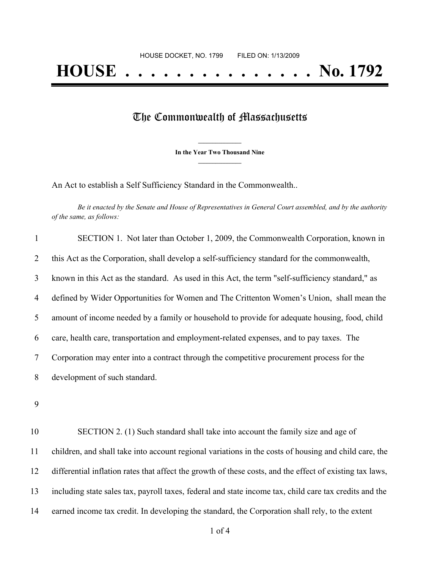## The Commonwealth of Massachusetts

**\_\_\_\_\_\_\_\_\_\_\_\_\_\_\_ In the Year Two Thousand Nine \_\_\_\_\_\_\_\_\_\_\_\_\_\_\_**

An Act to establish a Self Sufficiency Standard in the Commonwealth..

Be it enacted by the Senate and House of Representatives in General Court assembled, and by the authority *of the same, as follows:*

| $\mathbf{1}$ | SECTION 1. Not later than October 1, 2009, the Commonwealth Corporation, known in                |
|--------------|--------------------------------------------------------------------------------------------------|
| 2            | this Act as the Corporation, shall develop a self-sufficiency standard for the commonwealth,     |
| 3            | known in this Act as the standard. As used in this Act, the term "self-sufficiency standard," as |
| 4            | defined by Wider Opportunities for Women and The Crittenton Women's Union, shall mean the        |
| 5            | amount of income needed by a family or household to provide for adequate housing, food, child    |
| 6            | care, health care, transportation and employment-related expenses, and to pay taxes. The         |
| $\tau$       | Corporation may enter into a contract through the competitive procurement process for the        |
| 8            | development of such standard.                                                                    |
|              |                                                                                                  |

9

 SECTION 2. (1) Such standard shall take into account the family size and age of children, and shall take into account regional variations in the costs of housing and child care, the differential inflation rates that affect the growth of these costs, and the effect of existing tax laws, including state sales tax, payroll taxes, federal and state income tax, child care tax credits and the earned income tax credit. In developing the standard, the Corporation shall rely, to the extent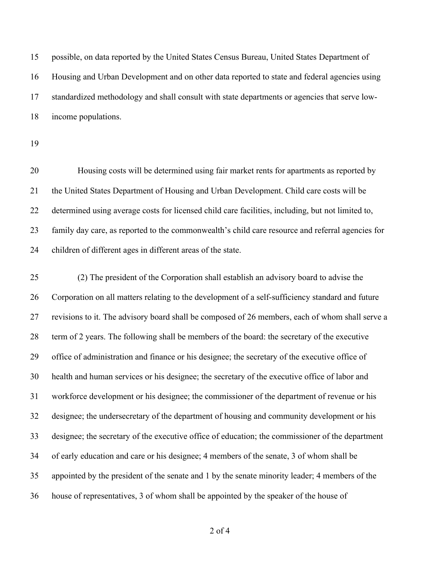possible, on data reported by the United States Census Bureau, United States Department of Housing and Urban Development and on other data reported to state and federal agencies using standardized methodology and shall consult with state departments or agencies that serve low-income populations.

 Housing costs will be determined using fair market rents for apartments as reported by the United States Department of Housing and Urban Development. Child care costs will be determined using average costs for licensed child care facilities, including, but not limited to, family day care, as reported to the commonwealth's child care resource and referral agencies for children of different ages in different areas of the state.

 (2) The president of the Corporation shall establish an advisory board to advise the Corporation on all matters relating to the development of a self-sufficiency standard and future revisions to it. The advisory board shall be composed of 26 members, each of whom shall serve a term of 2 years. The following shall be members of the board: the secretary of the executive office of administration and finance or his designee; the secretary of the executive office of health and human services or his designee; the secretary of the executive office of labor and workforce development or his designee; the commissioner of the department of revenue or his designee; the undersecretary of the department of housing and community development or his designee; the secretary of the executive office of education; the commissioner of the department of early education and care or his designee; 4 members of the senate, 3 of whom shall be appointed by the president of the senate and 1 by the senate minority leader; 4 members of the house of representatives, 3 of whom shall be appointed by the speaker of the house of

of 4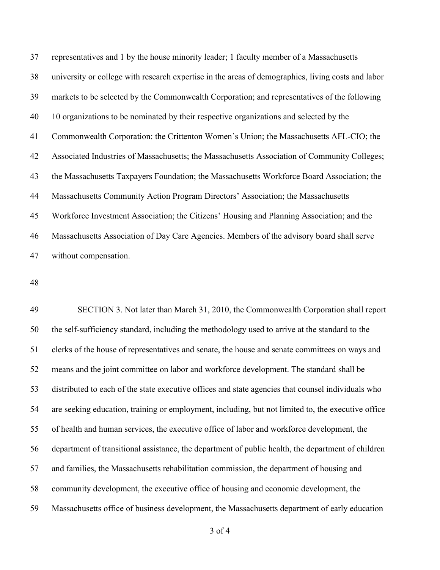representatives and 1 by the house minority leader; 1 faculty member of a Massachusetts university or college with research expertise in the areas of demographics, living costs and labor markets to be selected by the Commonwealth Corporation; and representatives of the following 10 organizations to be nominated by their respective organizations and selected by the Commonwealth Corporation: the Crittenton Women's Union; the Massachusetts AFL-CIO; the Associated Industries of Massachusetts; the Massachusetts Association of Community Colleges; the Massachusetts Taxpayers Foundation; the Massachusetts Workforce Board Association; the Massachusetts Community Action Program Directors' Association; the Massachusetts Workforce Investment Association; the Citizens' Housing and Planning Association; and the Massachusetts Association of Day Care Agencies. Members of the advisory board shall serve without compensation.

 SECTION 3. Not later than March 31, 2010, the Commonwealth Corporation shall report the self-sufficiency standard, including the methodology used to arrive at the standard to the clerks of the house of representatives and senate, the house and senate committees on ways and means and the joint committee on labor and workforce development. The standard shall be distributed to each of the state executive offices and state agencies that counsel individuals who are seeking education, training or employment, including, but not limited to, the executive office of health and human services, the executive office of labor and workforce development, the department of transitional assistance, the department of public health, the department of children and families, the Massachusetts rehabilitation commission, the department of housing and community development, the executive office of housing and economic development, the Massachusetts office of business development, the Massachusetts department of early education

of 4